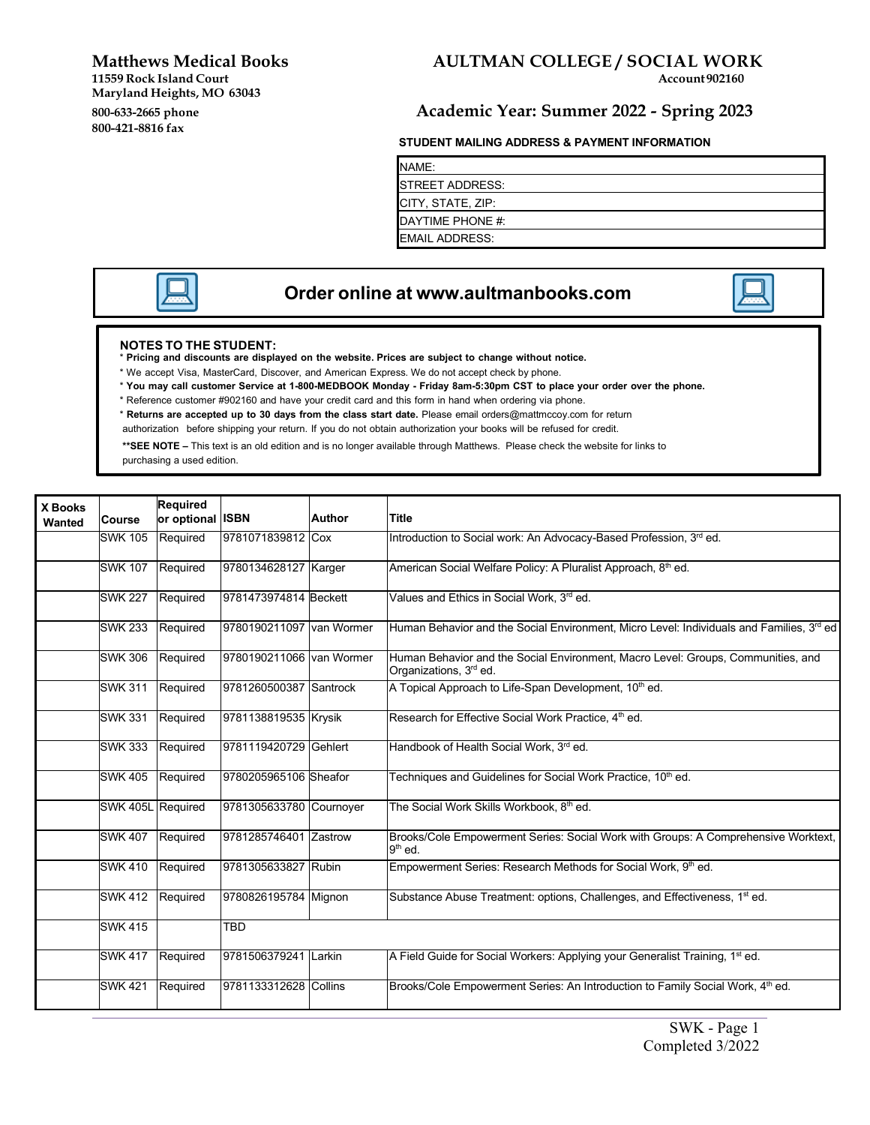**Matthews Medical Books** 

 **Maryland Heights, MO 63043**  800-633-2665 phone **11559 Rock Island Court 800-421-8816 fax** 

## **AULTMAN COLLEGE / SOCIAL WORK**<br>Account 902160

### **800-633-2665 phone Academic Year: Summer 2022 - Spring 2023**

#### **STUDENT MAILING ADDRESS & PAYMENT INFORMATION**

NAME: STREET ADDRESS: CITY, STATE, ZIP: DAYTIME PHONE #: EMAIL ADDRESS:



## **Order online at [www.aultmanbooks.com](http://www.aultmanbooks.com/)**

#### **NOTES TO THE STUDENT:**

- \* **Pricing and discounts are displayed on the website. Prices are subject to change without notice.**
- \* We accept Visa, MasterCard, Discover, and American Express. We do not accept check by phone.
- \* **You may call customer Service at 1-800-MEDBOOK Monday - Friday 8am-5:30pm CST to place your order over the phone.**
- \* Reference customer #902160 and have your credit card and this form in hand when ordering via phone.
- \* **Returns are accepted up to 30 days from the class start date.** Please email [orders@mattmccoy.com](mailto:orders@mattmccoy.com) for return
- authorization before shipping your return. If you do not obtain authorization your books will be refused for credit.

**\*\*SEE NOTE –** This text is an old edition and is no longer available through Matthews. Please check the website for links to purchasing a used edition.

| X Books<br>Wanted | Course            | <b>Required</b><br>or optional ISBN |                            | <b>Author</b> | <b>Title</b>                                                                                                           |
|-------------------|-------------------|-------------------------------------|----------------------------|---------------|------------------------------------------------------------------------------------------------------------------------|
|                   | <b>SWK 105</b>    | Required                            | 9781071839812 Cox          |               | Introduction to Social work: An Advocacy-Based Profession, 3rd ed.                                                     |
|                   | <b>SWK 107</b>    | Required                            | 9780134628127 Karger       |               | American Social Welfare Policy: A Pluralist Approach, 8th ed.                                                          |
|                   | <b>SWK 227</b>    | Required                            | 9781473974814 Beckett      |               | Values and Ethics in Social Work, 3rd ed.                                                                              |
|                   | <b>SWK 233</b>    | Required                            | I9780190211097 Ivan Wormer |               | Human Behavior and the Social Environment, Micro Level: Individuals and Families, 3 <sup>rd</sup> ed                   |
|                   | <b>SWK 306</b>    | Required                            | 9780190211066 van Wormer   |               | Human Behavior and the Social Environment, Macro Level: Groups, Communities, and<br>Organizations, 3 <sup>rd</sup> ed. |
|                   | <b>SWK 311</b>    | Required                            | 9781260500387 Santrock     |               | A Topical Approach to Life-Span Development, 10 <sup>th</sup> ed.                                                      |
|                   | <b>SWK 331</b>    | Required                            | 9781138819535 Krysik       |               | Research for Effective Social Work Practice, 4 <sup>th</sup> ed.                                                       |
|                   | <b>SWK 333</b>    | Required                            | 9781119420729 Gehlert      |               | Handbook of Health Social Work, 3rd ed.                                                                                |
|                   | <b>SWK 405</b>    | Required                            | 9780205965106 Sheafor      |               | Techniques and Guidelines for Social Work Practice, 10 <sup>th</sup> ed.                                               |
|                   | SWK 405L Required |                                     | 9781305633780 Cournoyer    |               | The Social Work Skills Workbook, 8th ed.                                                                               |
|                   | <b>SWK 407</b>    | Required                            | 9781285746401 Zastrow      |               | Brooks/Cole Empowerment Series: Social Work with Groups: A Comprehensive Worktext,<br>$9th$ ed.                        |
|                   | <b>SWK 410</b>    | Required                            | 9781305633827 Rubin        |               | Empowerment Series: Research Methods for Social Work, 9 <sup>th</sup> ed.                                              |
|                   | <b>SWK 412</b>    | Required                            | 9780826195784 Mignon       |               | Substance Abuse Treatment: options, Challenges, and Effectiveness, 1 <sup>st</sup> ed.                                 |
|                   | <b>SWK 415</b>    |                                     | TBD                        |               |                                                                                                                        |
|                   | <b>SWK 417</b>    | Required                            | l9781506379241  Larkin     |               | A Field Guide for Social Workers: Applying your Generalist Training, 1 <sup>st</sup> ed.                               |
|                   | <b>SWK 421</b>    | Required                            | 9781133312628 Collins      |               | Brooks/Cole Empowerment Series: An Introduction to Family Social Work, 4 <sup>th</sup> ed.                             |